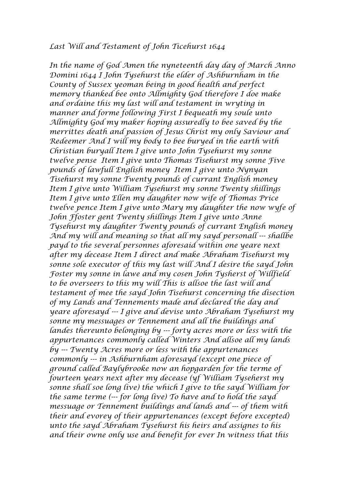## *Last Will and Testament of John Ticehurst 1644*

*In the name of God Amen the nyneteenth day day of March Anno Domini 1644 I John Tysehurst the elder of Ashburnham in the County of Sussex yeoman being in good health and perfect memory thanked bee onto Allmighty God therefore I doe make and ordaine this my last will and testament in wryting in manner and forme following First I bequeath my soule unto Allmighty God my maker hoping assuredly to bee saved by the merrittes death and passion of Jesus Christ my only Saviour and Redeemer And I will my body to bee buryed in the earth with Christian buryall Item I give unto John Tysehurst my sonne twelve pense Item I give unto Thomas Tisehurst my sonne Five pounds of lawfull English money Item I give unto Nynyan Tisehurst my sonne Twenty pounds of currant English money Item I give unto William Tysehurst my sonne Twenty shillings Item I give unto Ellen my daughter now wife of Thomas Price twelve pence Item I give unto Mary my daughter the now wyfe of John Ffoster gent Twenty shillings Item I give unto Anne Tysehurst my daughter Twenty pounds of currant English money And my will and meaning so that all my sayd personall --- shallbe payd to the several personnes aforesaid within one yeare next after my decease Item I direct and make Abraham Tisehurst my sonne sole executor of this my last will And I desire the sayd John Foster my sonne in lawe and my cosen John Tysherst of Willfield to be overseers to this my will This is allsoe the last will and testament of mee the sayd John Tisehurst concerning the disection of my Lands and Tennements made and declared the day and yeare aforesayd --- I give and devise unto Abraham Tysehurst my sonne my messuages or Tennement and all the buildings and landes thereunto belonging by --- forty acres more or less with the appurtenances commonly called Winters And allsoe all my lands by --- Twenty Acres more or less with the appurtenances commonly --- in Ashburnham aforesayd (except one piece of ground called Baylybrooke now an hopgarden for the terme of fourteen years next after my decease (yf William Tyseherst my sonne shall soe long live) the which I give to the sayd William for the same terme (--- for long live) To have and to hold the sayd messuage or Tennement buildings and lands and --- of them with their and evorey of their appurtenances (except before excepted) unto the sayd Abraham Tysehurst his heirs and assignes to his and their owne only use and benefit for ever In witness that this*